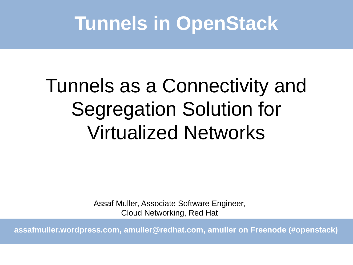### **Tunnels in OpenStack**

# Tunnels as a Connectivity and Segregation Solution for Virtualized Networks

Assaf Muller, Associate Software Engineer, Cloud Networking, Red Hat

**assafmuller.wordpress.com, [amuller@redhat.com](mailto:amuller@redhat.com), amuller on Freenode (#openstack)**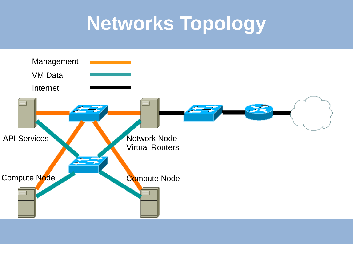### **Networks Topology**

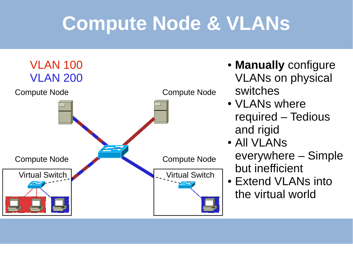### **Compute Node & VLANs**



- **Manually** configure VLANs on physical switches
- VLANs where required – Tedious and rigid
- All VI ANS everywhere – Simple but inefficient
- Extend VLANs into the virtual world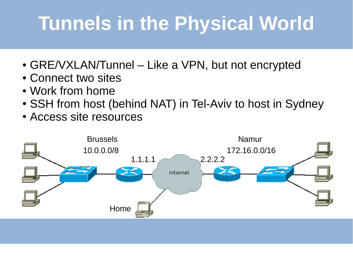## **Tunnels in the Physical World**

- $\cdot$  GRE/VXLAN/Tunnel Like a VPN, but not encrypted
- Connect two sites
- Work from home
- SSH from host (behind NAT) in Tel-Aviv to host in Sydney
- Access site resources

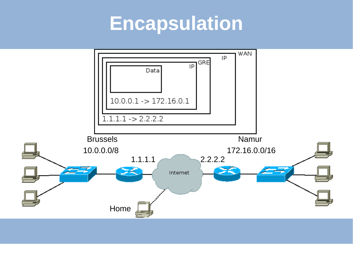### **Encapsulation**

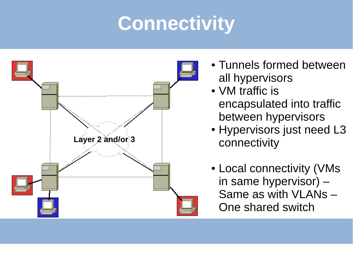## **Connectivity**



- Tunnels formed between all hypervisors
- VM traffic is encapsulated into traffic between hypervisors
- Hypervisors just need L3 connectivity
- Local connectivity (VMs in same hypervisor) – Same as with VLANs – One shared switch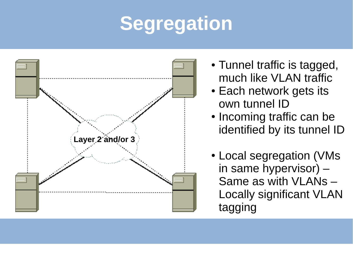# **Segregation**



- Tunnel traffic is tagged, much like VLAN traffic
- Each network gets its own tunnel ID
- Incoming traffic can be identified by its tunnel ID
- Local segregation (VMs in same hypervisor) – Same as with VLANs – Locally significant VLAN tagging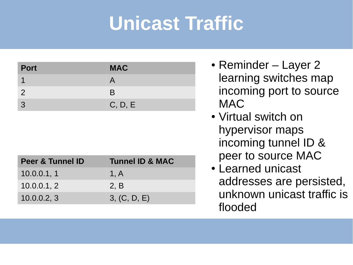## **Unicast Traffic**

| <b>Port</b>    | <b>MAC</b> |
|----------------|------------|
|                |            |
| $\overline{2}$ | B          |
| $\mathcal{S}$  | C, D, E    |

| <b>Peer &amp; Tunnel ID</b> | <b>Tunnel ID &amp; MAC</b> |
|-----------------------------|----------------------------|
| 10.0.0.1, 1                 | 1, A                       |
| 10.0.0.1, 2                 | 2. B                       |
| 10.0.0.2, 3                 | 3, (C, D, E)               |

- Reminder Layer 2 learning switches map incoming port to source MAC
- Virtual switch on hypervisor maps incoming tunnel ID & peer to source MAC
- Learned unicast addresses are persisted, unknown unicast traffic is flooded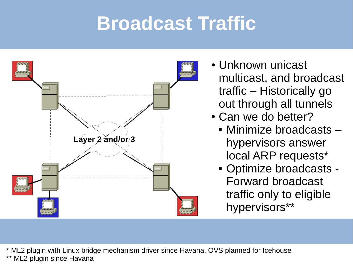### **Broadcast Traffic**



- Unknown unicast multicast, and broadcast traffic – Historically go out through all tunnels
- Can we do better?
	- Minimize broadcasts hypervisors answer local ARP requests\*
	- Optimize broadcasts Forward broadcast traffic only to eligible hypervisors\*\*

\* ML2 plugin with Linux bridge mechanism driver since Havana. OVS planned for Icehouse \*\* ML2 plugin since Havana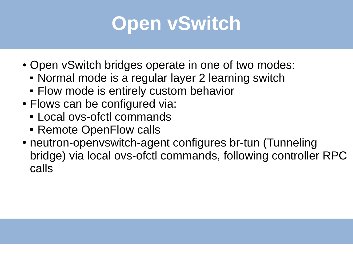

- Open vSwitch bridges operate in one of two modes:
	- Normal mode is a regular layer 2 learning switch
	- **Flow mode is entirely custom behavior**
- Flows can be configured via:
	- Local ovs-ofctl commands
	- **Remote OpenFlow calls**
- neutron-openvswitch-agent configures br-tun (Tunneling bridge) via local ovs-ofctl commands, following controller RPC calls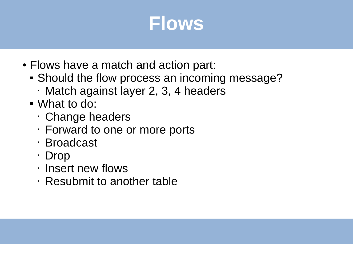

- Flows have a match and action part:
	- Should the flow process an incoming message?
		- Match against layer 2, 3, 4 headers
	- What to do:
		- Change headers
		- Forward to one or more ports
		- Broadcast
		- Drop
		- Insert new flows
		- Resubmit to another table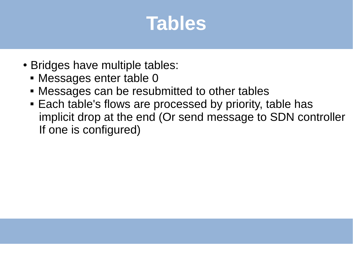#### **Tables**

- Bridges have multiple tables:
	- Messages enter table 0
	- Messages can be resubmitted to other tables
	- **Each table's flows are processed by priority, table has**  implicit drop at the end (Or send message to SDN controller If one is configured)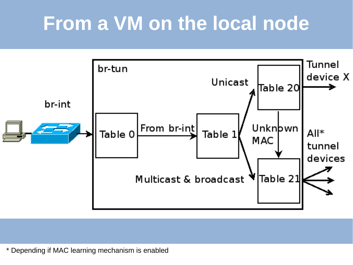### **From a VM on the local node**



\* Depending if MAC learning mechanism is enabled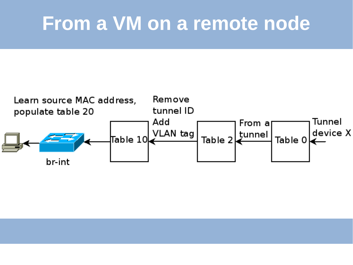#### **From a VM on a remote node**

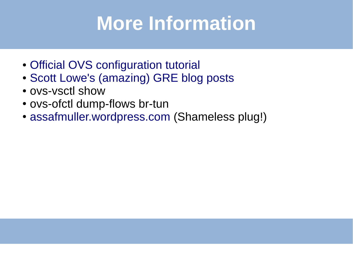### **More Information**

- [Official OVS configuration tutorial](http://git.openvswitch.org/cgi-bin/gitweb.cgi?p=openvswitch;a=blob_plain;f=tutorial/Tutorial;hb=HEAD)
- [Scott Lowe's \(amazing\) GRE blog posts](http://blog.scottlowe.org/tag/gre/)
- ovs-ysctl show
- ovs-ofctl dump-flows br-tun
- [assafmuller.wordpress.com](http://assafmuller.wordpress.com/) (Shameless plug!)